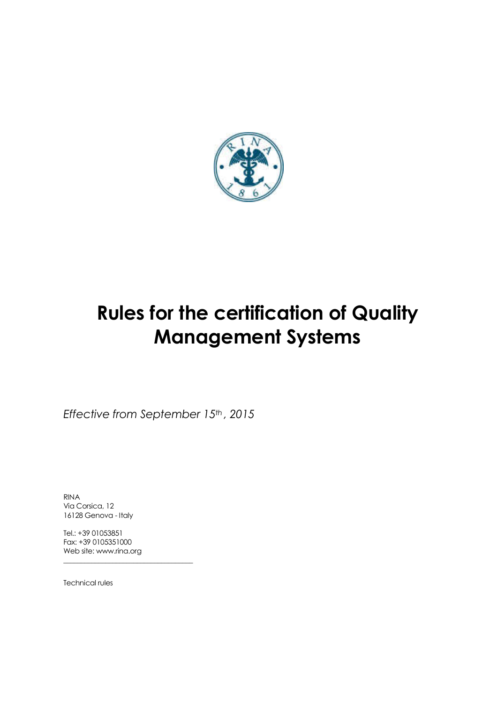

Effective from September 15th, 2015

RINA Via Corsica, 12 16128 Genova - Italy

Tel.: +39 01053851 Fax: +39 0105351000 Web site: www.rina.org

\_\_\_\_\_\_\_\_\_\_\_\_\_\_\_\_\_\_\_\_\_\_\_\_\_\_\_\_\_\_\_\_\_\_\_\_\_

Technical rules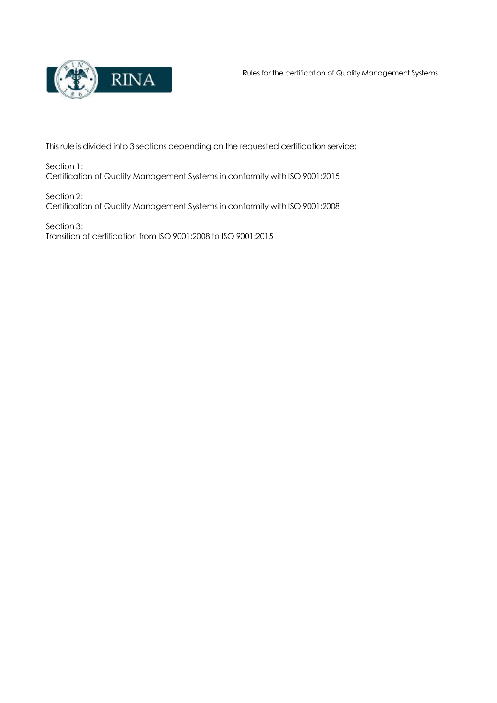

This rule is divided into 3 sections depending on the requested certification service:

Section 1: Certification of Quality Management Systems in conformity with ISO 9001:2015

Section 2: Certification of Quality Management Systems in conformity with ISO 9001:2008

Section 3: Transition of certification from ISO 9001:2008 to ISO 9001:2015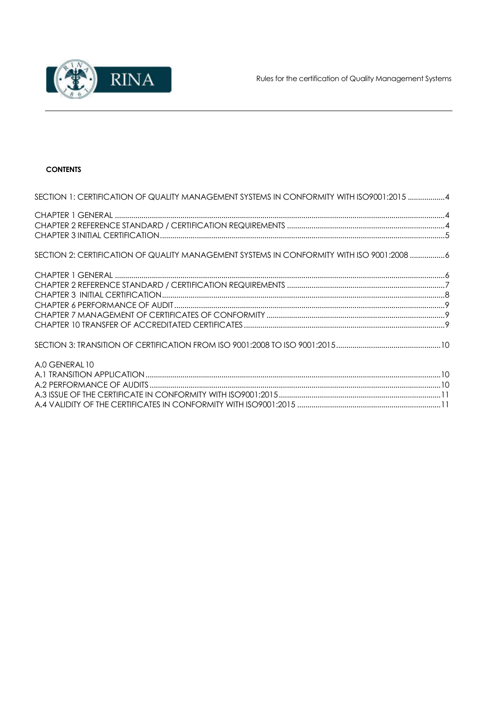

## **CONTENTS**

| SECTION 1: CERTIFICATION OF QUALITY MANAGEMENT SYSTEMS IN CONFORMITY WITH ISO9001:2015 4  |
|-------------------------------------------------------------------------------------------|
|                                                                                           |
|                                                                                           |
| SECTION 2: CERTIFICATION OF QUALITY MANAGEMENT SYSTEMS IN CONFORMITY WITH ISO 9001:2008 6 |
|                                                                                           |
|                                                                                           |
|                                                                                           |
|                                                                                           |
|                                                                                           |
|                                                                                           |
|                                                                                           |
|                                                                                           |
|                                                                                           |
|                                                                                           |
|                                                                                           |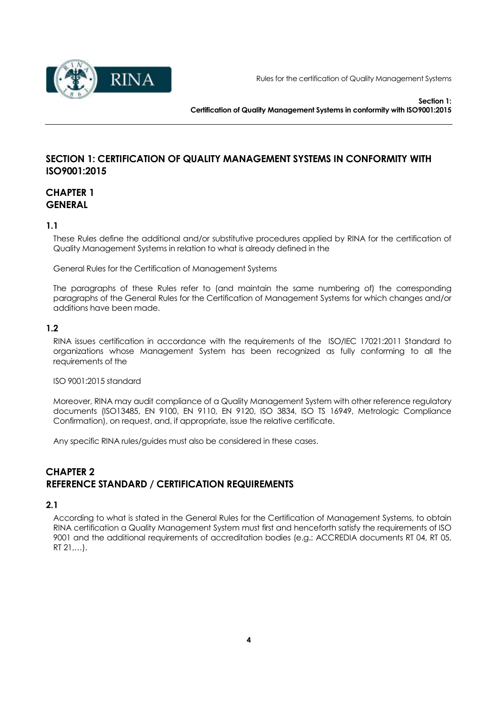

# SECTION 1: CERTIFICATION OF QUALITY MANAGEMENT SYSTEMS IN CONFORMITY WITH ISO9001:2015

# CHAPTER 1 **GENERAL**

#### 1.1

These Rules define the additional and/or substitutive procedures applied by RINA for the certification of Quality Management Systems in relation to what is already defined in the

General Rules for the Certification of Management Systems

The paragraphs of these Rules refer to (and maintain the same numbering of) the corresponding paragraphs of the General Rules for the Certification of Management Systems for which changes and/or additions have been made.

#### 1.2

RINA issues certification in accordance with the requirements of the ISO/IEC 17021:2011 Standard to organizations whose Management System has been recognized as fully conforming to all the requirements of the

ISO 9001:2015 standard

Moreover, RINA may audit compliance of a Quality Management System with other reference regulatory documents (ISO13485, EN 9100, EN 9110, EN 9120, ISO 3834, ISO TS 16949, Metrologic Compliance Confirmation), on request, and, if appropriate, issue the relative certificate.

Any specific RINA rules/guides must also be considered in these cases.

# CHAPTER 2 REFERENCE STANDARD / CERTIFICATION REQUIREMENTS

#### 2.1

According to what is stated in the General Rules for the Certification of Management Systems, to obtain RINA certification a Quality Management System must first and henceforth satisfy the requirements of ISO 9001 and the additional requirements of accreditation bodies (e.g.: ACCREDIA documents RT 04, RT 05,  $RT 21,...$ ).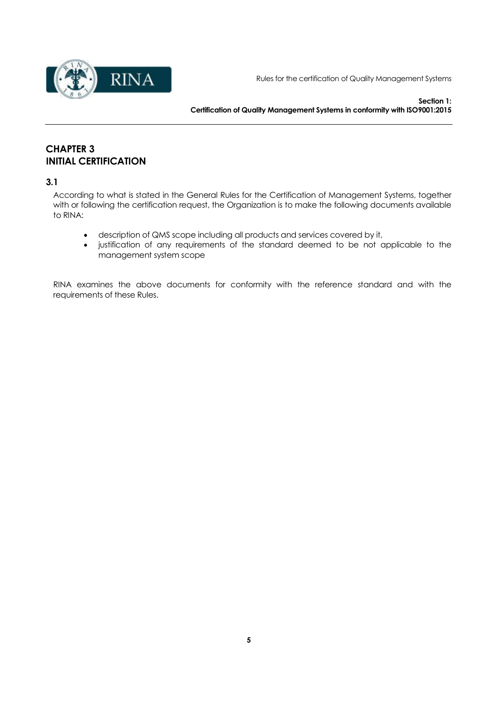

# CHAPTER 3 INITIAL CERTIFICATION

3.1

According to what is stated in the General Rules for the Certification of Management Systems, together with or following the certification request, the Organization is to make the following documents available to RINA:

- description of QMS scope including all products and services covered by it,
- justification of any requirements of the standard deemed to be not applicable to the management system scope

RINA examines the above documents for conformity with the reference standard and with the requirements of these Rules.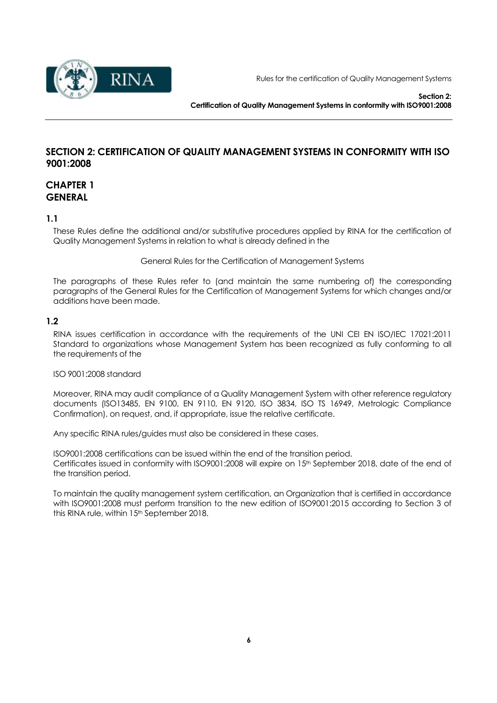

# SECTION 2: CERTIFICATION OF QUALITY MANAGEMENT SYSTEMS IN CONFORMITY WITH ISO 9001:2008

# CHAPTER 1 **GENERAL**

## 1.1

These Rules define the additional and/or substitutive procedures applied by RINA for the certification of Quality Management Systems in relation to what is already defined in the

General Rules for the Certification of Management Systems

The paragraphs of these Rules refer to (and maintain the same numbering of) the corresponding paragraphs of the General Rules for the Certification of Management Systems for which changes and/or additions have been made.

#### 1.2

RINA issues certification in accordance with the requirements of the UNI CEI EN ISO/IEC 17021:2011 Standard to organizations whose Management System has been recognized as fully conforming to all the requirements of the

ISO 9001:2008 standard

Moreover, RINA may audit compliance of a Quality Management System with other reference regulatory documents (ISO13485, EN 9100, EN 9110, EN 9120, ISO 3834, ISO TS 16949, Metrologic Compliance Confirmation), on request, and, if appropriate, issue the relative certificate.

Any specific RINA rules/guides must also be considered in these cases.

ISO9001:2008 certifications can be issued within the end of the transition period. Certificates issued in conformity with ISO9001:2008 will expire on 15th September 2018, date of the end of the transition period.

To maintain the quality management system certification, an Organization that is certified in accordance with ISO9001:2008 must perform transition to the new edition of ISO9001:2015 according to Section 3 of this RINA rule, within 15<sup>th</sup> September 2018.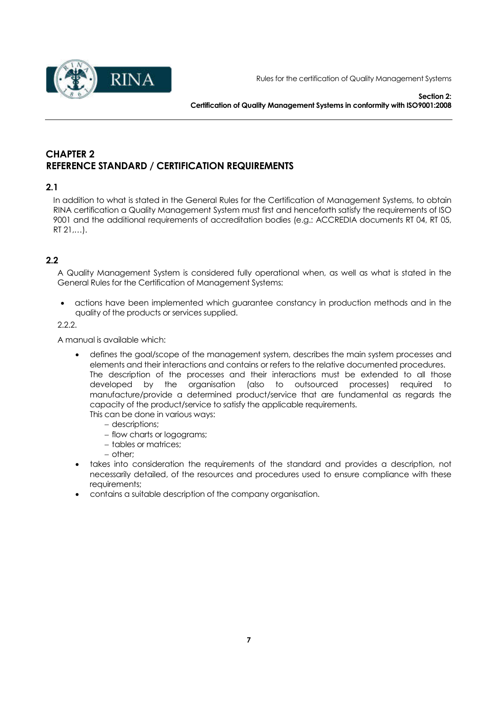

# CHAPTER 2 REFERENCE STANDARD / CERTIFICATION REQUIREMENTS

## 2.1

In addition to what is stated in the General Rules for the Certification of Management Systems, to obtain RINA certification a Quality Management System must first and henceforth satisfy the requirements of ISO 9001 and the additional requirements of accreditation bodies (e.g.: ACCREDIA documents RT 04, RT 05,  $RT 21$ ....).

## 2.2

A Quality Management System is considered fully operational when, as well as what is stated in the General Rules for the Certification of Management Systems:

• actions have been implemented which guarantee constancy in production methods and in the quality of the products or services supplied.

2.2.2.

A manual is available which:

- defines the goal/scope of the management system, describes the main system processes and elements and their interactions and contains or refers to the relative documented procedures. The description of the processes and their interactions must be extended to all those developed by the organisation (also to outsourced processes) required to manufacture/provide a determined product/service that are fundamental as regards the capacity of the product/service to satisfy the applicable requirements. This can be done in various ways:
	- − descriptions;
	- − flow charts or logograms;
	- − tables or matrices;
	- − other;
- takes into consideration the requirements of the standard and provides a description, not necessarily detailed, of the resources and procedures used to ensure compliance with these requirements;
- contains a suitable description of the company organisation.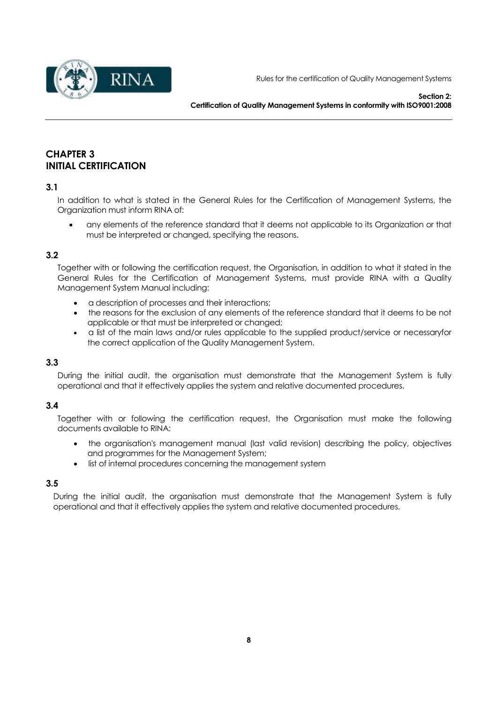

# CHAPTER 3 INITIAL CERTIFICATION

### 3.1

In addition to what is stated in the General Rules for the Certification of Management Systems, the Organization must inform RINA of:

• any elements of the reference standard that it deems not applicable to its Organization or that must be interpreted or changed, specifying the reasons.

#### 3.2

Together with or following the certification request, the Organisation, in addition to what it stated in the General Rules for the Certification of Management Systems, must provide RINA with a Quality Management System Manual including:

- a description of processes and their interactions;
- the reasons for the exclusion of any elements of the reference standard that it deems to be not applicable or that must be interpreted or changed;
- a list of the main laws and/or rules applicable to the supplied product/service or necessaryfor the correct application of the Quality Management System.

#### 3.3

During the initial audit, the organisation must demonstrate that the Management System is fully operational and that it effectively applies the system and relative documented procedures.

#### 3.4

Together with or following the certification request, the Organisation must make the following documents available to RINA:

- the organisation's management manual (last valid revision) describing the policy, objectives and programmes for the Management System;
- list of internal procedures concerning the management system

#### 3.5

During the initial audit, the organisation must demonstrate that the Management System is fully operational and that it effectively applies the system and relative documented procedures.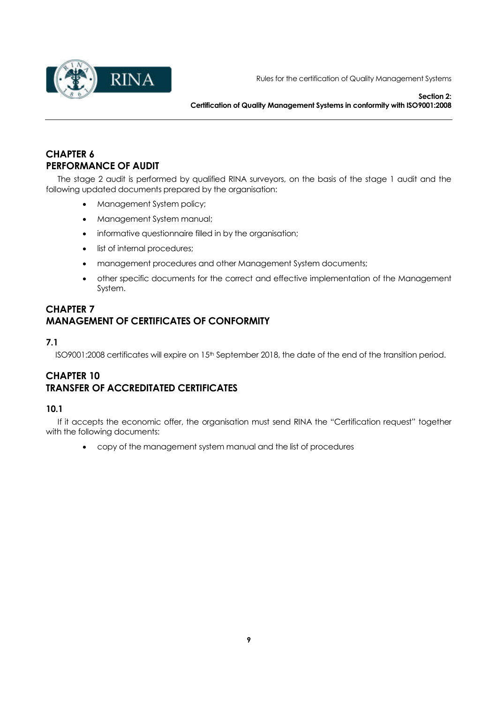

# CHAPTER 6 PERFORMANCE OF AUDIT

The stage 2 audit is performed by qualified RINA surveyors, on the basis of the stage 1 audit and the following updated documents prepared by the organisation:

- Management System policy;
- Management System manual;
- informative questionnaire filled in by the organisation;
- list of internal procedures;
- management procedures and other Management System documents;
- other specific documents for the correct and effective implementation of the Management System.

# CHAPTER 7 MANAGEMENT OF CERTIFICATES OF CONFORMITY

## 7.1

ISO9001:2008 certificates will expire on 15<sup>th</sup> September 2018, the date of the end of the transition period.

# CHAPTER 10 TRANSFER OF ACCREDITATED CERTIFICATES

## 10.1

If it accepts the economic offer, the organisation must send RINA the "Certification request" together with the following documents:

• copy of the management system manual and the list of procedures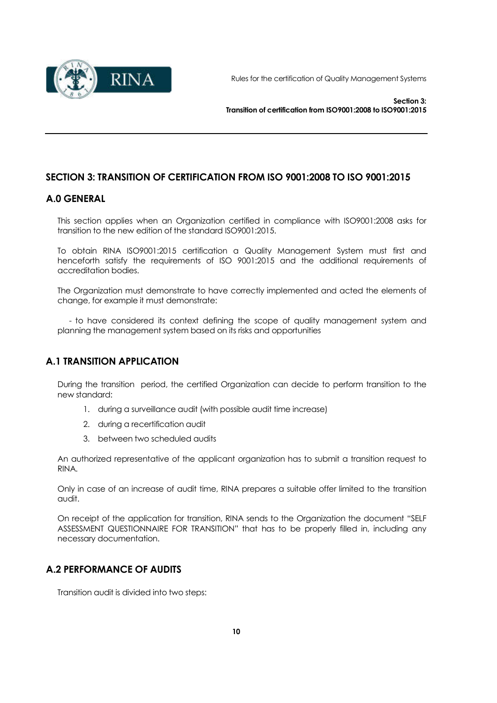

# SECTION 3: TRANSITION OF CERTIFICATION FROM ISO 9001:2008 TO ISO 9001:2015

## A.0 GENERAL

This section applies when an Organization certified in compliance with ISO9001:2008 asks for transition to the new edition of the standard ISO9001:2015.

To obtain RINA ISO9001:2015 certification a Quality Management System must first and henceforth satisfy the requirements of ISO 9001:2015 and the additional requirements of accreditation bodies.

The Organization must demonstrate to have correctly implemented and acted the elements of change, for example it must demonstrate:

- to have considered its context defining the scope of quality management system and planning the management system based on its risks and opportunities

# A.1 TRANSITION APPLICATION

During the transition period, the certified Organization can decide to perform transition to the new standard:

- 1. during a surveillance audit (with possible audit time increase)
- 2. during a recertification audit
- 3. between two scheduled audits

An authorized representative of the applicant organization has to submit a transition request to RINA.

Only in case of an increase of audit time, RINA prepares a suitable offer limited to the transition audit.

On receipt of the application for transition, RINA sends to the Organization the document "SELF ASSESSMENT QUESTIONNAIRE FOR TRANSITION" that has to be properly filled in, including any necessary documentation.

# A.2 PERFORMANCE OF AUDITS

Transition audit is divided into two steps: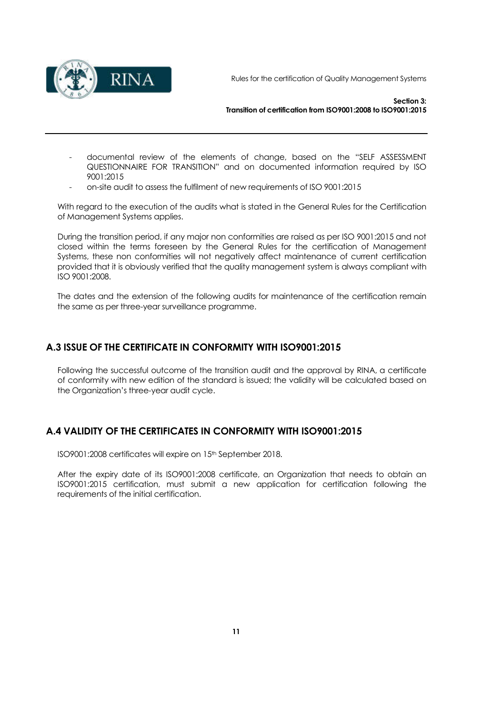

Section 3: Transition of certification from ISO9001:2008 to ISO9001:2015

- documental review of the elements of change, based on the "SELF ASSESSMENT QUESTIONNAIRE FOR TRANSITION" and on documented information required by ISO 9001:2015
- on-site audit to assess the fulfilment of new requirements of ISO 9001:2015

With regard to the execution of the audits what is stated in the General Rules for the Certification of Management Systems applies.

During the transition period, if any major non conformities are raised as per ISO 9001:2015 and not closed within the terms foreseen by the General Rules for the certification of Management Systems, these non conformities will not negatively affect maintenance of current certification provided that it is obviously verified that the quality management system is always compliant with ISO 9001:2008.

The dates and the extension of the following audits for maintenance of the certification remain the same as per three-year surveillance programme.

## A.3 ISSUE OF THE CERTIFICATE IN CONFORMITY WITH ISO9001:2015

Following the successful outcome of the transition audit and the approval by RINA, a certificate of conformity with new edition of the standard is issued; the validity will be calculated based on the Organization's three-year audit cycle.

## A.4 VALIDITY OF THE CERTIFICATES IN CONFORMITY WITH ISO9001:2015

ISO9001:2008 certificates will expire on 15th September 2018.

After the expiry date of its ISO9001:2008 certificate, an Organization that needs to obtain an ISO9001:2015 certification, must submit a new application for certification following the requirements of the initial certification.